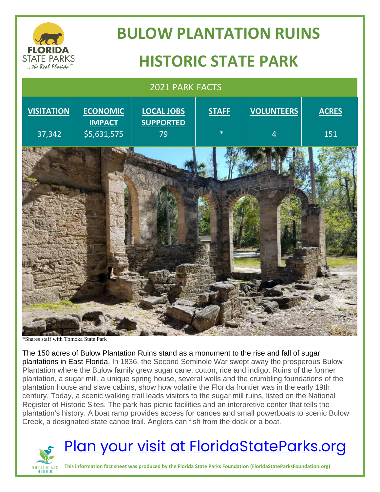

# **BULOW PLANTATION RUINS HISTORIC STATE PARK**

### 2021 PARK FACTS **VISITATION** 37,342 **ECONOMIC IMPACT** \$5,631,575 **LOCAL JOBS SUPPORTED** 79 **STAFF** \* **VOLUNTEERS** 4 **ACRES** 151

\*Shares staff with Tomoka State Park

The 150 acres of Bulow Plantation Ruins stand as a monument to the rise and fall of sugar plantations in East Florida. In 1836, the Second Seminole War swept away the prosperous Bulow Plantation where the Bulow family grew sugar cane, cotton, rice and indigo. Ruins of the former plantation, a sugar mill, a unique spring house, several wells and the crumbling foundations of the plantation house and slave cabins, show how volatile the Florida frontier was in the early 19th century. Today, a scenic walking trail leads visitors to the sugar mill ruins, listed on the National Register of Historic Sites. The park has picnic facilities and an interpretive center that tells the plantation's history. A boat ramp provides access for canoes and small powerboats to scenic Bulow Creek, a designated state canoe trail. Anglers can fish from the dock or a boat.



## [Plan your visit at FloridaStateParks.org](http://www.floridastateparks.org/)